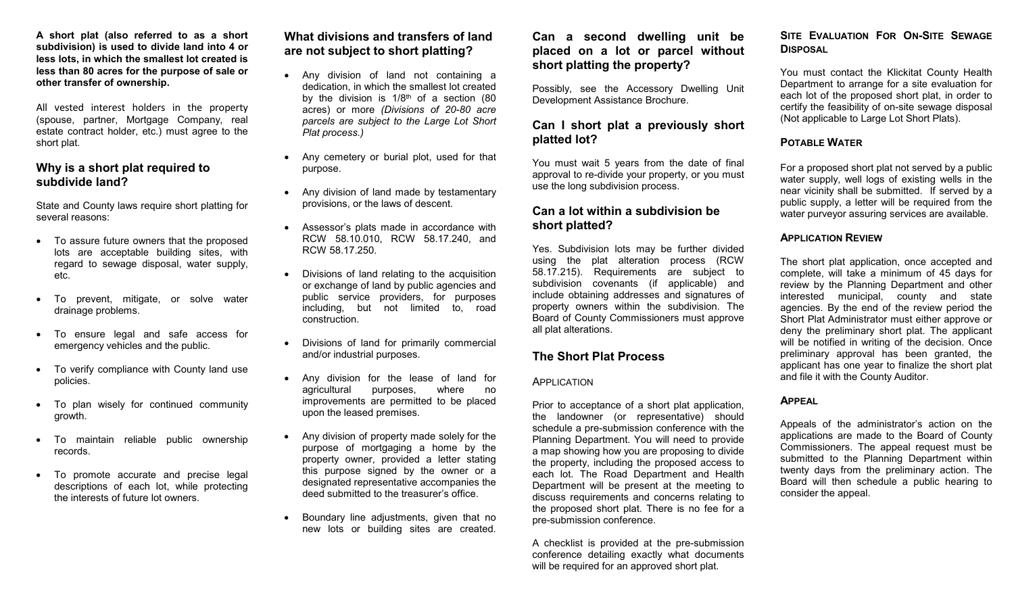**A short plat (also referred to as a short subdivision) is used to divide land into 4 or less lots, in which the smallest lot created is less than 80 acres for the purpose of sale or other transfer of ownership.**

All vested interest holders in the property (spouse, partner, Mortgage Company, real estate contract holder, etc.) must agree to the short plat.

## **Why is a short plat required to subdivide land?**

State and County laws require short platting for several reasons:

- To assure future owners that the proposed lots are acceptable building sites, with regard to sewage disposal, water supply, etc.
- To prevent, mitigate, or solve water drainage problems.
- To ensure legal and safe access for emergency vehicles and the public.
- To verify compliance with County land use policies.
- To plan wisely for continued community growth.
- To maintain reliable public ownership records.
- To promote accurate and precise legal descriptions of each lot, while protecting the interests of future lot owners.

# **What divisions and transfers of land are not subject to short platting?**

- Any division of land not containing a dedication, in which the smallest lot created by the division is  $1/8<sup>th</sup>$  of a section (80 acres) or more *(Divisions of 20-80 acre parcels are subject to the Large Lot Short Plat process.)*
- Any cemetery or burial plot, used for that purpose.
- Any division of land made by testamentary provisions, or the laws of descent.
- Assessor's plats made in accordance with RCW 58.10.010, RCW 58.17.240, and RCW 58.17.250.
- Divisions of land relating to the acquisition or exchange of land by public agencies and public service providers, for purposes including, but not limited to, road construction.
- Divisions of land for primarily commercial and/or industrial purposes.
- Any division for the lease of land for agricultural purposes, where no improvements are permitted to be placed upon the leased premises.
- Any division of property made solely for the purpose of mortgaging a home by the property owner, provided a letter stating this purpose signed by the owner or a designated representative accompanies the deed submitted to the treasurer's office.
- Boundary line adjustments, given that no new lots or building sites are created.

# **Can a second dwelling unit be placed on a lot or parcel without short platting the property?**

Possibly, see the Accessory Dwelling Unit Development Assistance Brochure.

# **Can I short plat a previously short platted lot?**

You must wait 5 years from the date of final approval to re-divide your property, or you must use the long subdivision process.

## **Can a lot within a subdivision be short platted?**

Yes. Subdivision lots may be further divided using the plat alteration process (RCW 58.17.215). Requirements are subject to subdivision covenants (if applicable) and include obtaining addresses and signatures of property owners within the subdivision. The Board of County Commissioners must approve all plat alterations.

## **The Short Plat Process**

### APPLICATION

Prior to acceptance of a short plat application, the landowner (or representative) should schedule a pre-submission conference with the Planning Department. You will need to provide a map showing how you are proposing to divide the property, including the proposed access to each lot. The Road Department and Health Department will be present at the meeting to discuss requirements and concerns relating to the proposed short plat. There is no fee for a pre-submission conference.

A checklist is provided at the pre-submission conference detailing exactly what documents will be required for an approved short plat.

# **SITE EVALUATION FOR ON-SITE SEWAGE DISPOSAL**

You must contact the Klickitat County Health Department to arrange for a site evaluation for each lot of the proposed short plat, in order to certify the feasibility of on-site sewage disposal (Not applicable to Large Lot Short Plats).

## **POTABLE WATER**

For a proposed short plat not served by a public water supply, well logs of existing wells in the near vicinity shall be submitted. If served by a public supply, a letter will be required from the water purveyor assuring services are available.

## **APPLICATION REVIEW**

The short plat application, once accepted and complete, will take a minimum of 45 days for review by the Planning Department and other interested municipal, county and state agencies. By the end of the review period the Short Plat Administrator must either approve or deny the preliminary short plat. The applicant will be notified in writing of the decision. Once preliminary approval has been granted, the applicant has one year to finalize the short plat and file it with the County Auditor.

## **APPEAL**

Appeals of the administrator's action on the applications are made to the Board of County Commissioners. The appeal request must be submitted to the Planning Department within twenty days from the preliminary action. The Board will then schedule a public hearing to consider the appeal.